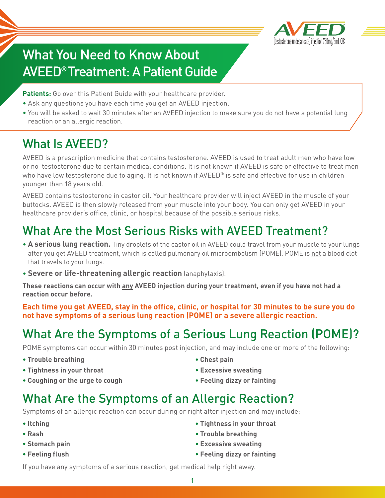

# What You Need to Know About AVEED® Treatment: A Patient Guide

Patients: Go over this Patient Guide with your healthcare provider.

- Ask any questions you have each time you get an AVEED injection.
- You will be asked to wait 30 minutes after an AVEED injection to make sure you do not have a potential lung reaction or an allergic reaction.

## What Is AVEED?

AVEED is a prescription medicine that contains testosterone. AVEED is used to treat adult men who have low or no testosterone due to certain medical conditions. It is not known if AVEED is safe or effective to treat men who have low testosterone due to aging. It is not known if AVEED<sup>®</sup> is safe and effective for use in children younger than 18 years old.

AVEED contains testosterone in castor oil. Your healthcare provider will inject AVEED in the muscle of your buttocks. AVEED is then slowly released from your muscle into your body. You can only get AVEED in your healthcare provider's office, clinic, or hospital because of the possible serious risks.

### What Are the Most Serious Risks with AVEED Treatment?

- **A serious lung reaction.** Tiny droplets of the castor oil in AVEED could travel from your muscle to your lungs after you get AVEED treatment, which is called pulmonary oil microembolism (POME). POME is not a blood clot that travels to your lungs.
- **Severe or life-threatening allergic reaction** (anaphylaxis).

**These reactions can occur with any AVEED injection during your treatment, even if you have not had a reaction occur before.**

**Each time you get AVEED, stay in the office, clinic, or hospital for 30 minutes to be sure you do not have symptoms of a serious lung reaction (POME) or a severe allergic reaction.**

## What Are the Symptoms of a Serious Lung Reaction (POME)?

POME symptoms can occur within 30 minutes post injection, and may include one or more of the following:

- **• Trouble breathing**
- **• Tightness in your throat**
- **• Coughing or the urge to cough**
- **• Chest pain**
- **• Excessive sweating**
- **• Feeling dizzy or fainting**

### What Are the Symptoms of an Allergic Reaction?

Symptoms of an allergic reaction can occur during or right after injection and may include:

- **• Itching**
- **• Rash**
- **• Stomach pain**
- **• Feeling flush**
- **• Tightness in your throat**
- **• Trouble breathing**
- **• Excessive sweating**
- **• Feeling dizzy or fainting**

If you have any symptoms of a serious reaction, get medical help right away.